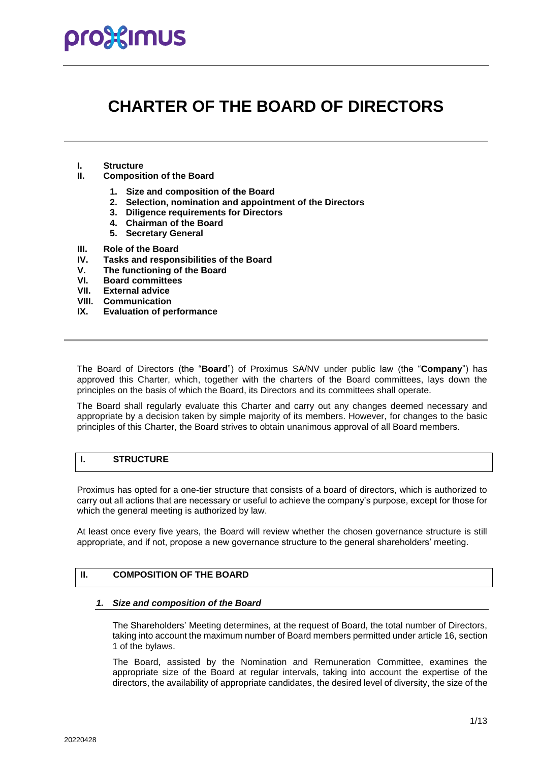### **CHARTER OF THE BOARD OF DIRECTORS**

- **I. Structure**
- **II. Composition of the Board**
	- **1. Size and composition of the Board**
	- **2. Selection, nomination and appointment of the Directors**
	- **3. Diligence requirements for Directors**
	- **4. Chairman of the Board**
	- **5. Secretary General**
- **III. Role of the Board**
- **IV. Tasks and responsibilities of the Board**
- **V. The functioning of the Board**
- **VI. Board committees**
- **VII. External advice**
- **VIII. Communication**
- **IX. Evaluation of performance**

The Board of Directors (the "**Board**") of Proximus SA/NV under public law (the "**Company**") has approved this Charter, which, together with the charters of the Board committees, lays down the principles on the basis of which the Board, its Directors and its committees shall operate.

The Board shall regularly evaluate this Charter and carry out any changes deemed necessary and appropriate by a decision taken by simple majority of its members. However, for changes to the basic principles of this Charter, the Board strives to obtain unanimous approval of all Board members.

### **I. STRUCTURE**

Proximus has opted for a one-tier structure that consists of a board of directors, which is authorized to carry out all actions that are necessary or useful to achieve the company's purpose, except for those for which the general meeting is authorized by law.

At least once every five years, the Board will review whether the chosen governance structure is still appropriate, and if not, propose a new governance structure to the general shareholders' meeting.

#### **II. COMPOSITION OF THE BOARD**

#### *1. Size and composition of the Board*

The Shareholders' Meeting determines, at the request of Board, the total number of Directors, taking into account the maximum number of Board members permitted under article 16, section 1 of the bylaws.

The Board, assisted by the Nomination and Remuneration Committee, examines the appropriate size of the Board at regular intervals, taking into account the expertise of the directors, the availability of appropriate candidates, the desired level of diversity, the size of the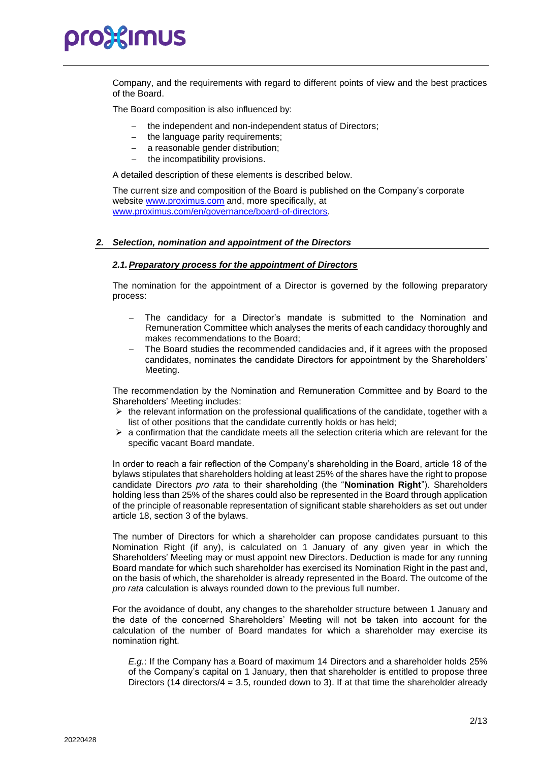Company, and the requirements with regard to different points of view and the best practices of the Board.

The Board composition is also influenced by:

- the independent and non-independent status of Directors;
- the language parity requirements:
- a reasonable gender distribution;
- − the incompatibility provisions.

A detailed description of these elements is described below.

The current size and composition of the Board is published on the Company's corporate website [www.proximus.com](http://www.proximus.com/) and, more specifically, at [www.proximus.com/en/governance/board-of-directors.](http://www.proximus.com/en/governance/board-of-directors)

#### *2. Selection, nomination and appointment of the Directors*

#### *2.1.Preparatory process for the appointment of Directors*

The nomination for the appointment of a Director is governed by the following preparatory process:

- The candidacy for a Director's mandate is submitted to the Nomination and Remuneration Committee which analyses the merits of each candidacy thoroughly and makes recommendations to the Board;
- The Board studies the recommended candidacies and, if it agrees with the proposed candidates, nominates the candidate Directors for appointment by the Shareholders' Meeting.

The recommendation by the Nomination and Remuneration Committee and by Board to the Shareholders' Meeting includes:

- $\triangleright$  the relevant information on the professional qualifications of the candidate, together with a list of other positions that the candidate currently holds or has held;
- $\triangleright$  a confirmation that the candidate meets all the selection criteria which are relevant for the specific vacant Board mandate.

In order to reach a fair reflection of the Company's shareholding in the Board, article 18 of the bylaws stipulates that shareholders holding at least 25% of the shares have the right to propose candidate Directors *pro rata* to their shareholding (the "**Nomination Right**"). Shareholders holding less than 25% of the shares could also be represented in the Board through application of the principle of reasonable representation of significant stable shareholders as set out under article 18, section 3 of the bylaws.

The number of Directors for which a shareholder can propose candidates pursuant to this Nomination Right (if any), is calculated on 1 January of any given year in which the Shareholders' Meeting may or must appoint new Directors. Deduction is made for any running Board mandate for which such shareholder has exercised its Nomination Right in the past and, on the basis of which, the shareholder is already represented in the Board. The outcome of the *pro rata* calculation is always rounded down to the previous full number.

For the avoidance of doubt, any changes to the shareholder structure between 1 January and the date of the concerned Shareholders' Meeting will not be taken into account for the calculation of the number of Board mandates for which a shareholder may exercise its nomination right.

*E.g.*: If the Company has a Board of maximum 14 Directors and a shareholder holds 25% of the Company's capital on 1 January, then that shareholder is entitled to propose three Directors (14 directors/ $4 = 3.5$ , rounded down to 3). If at that time the shareholder already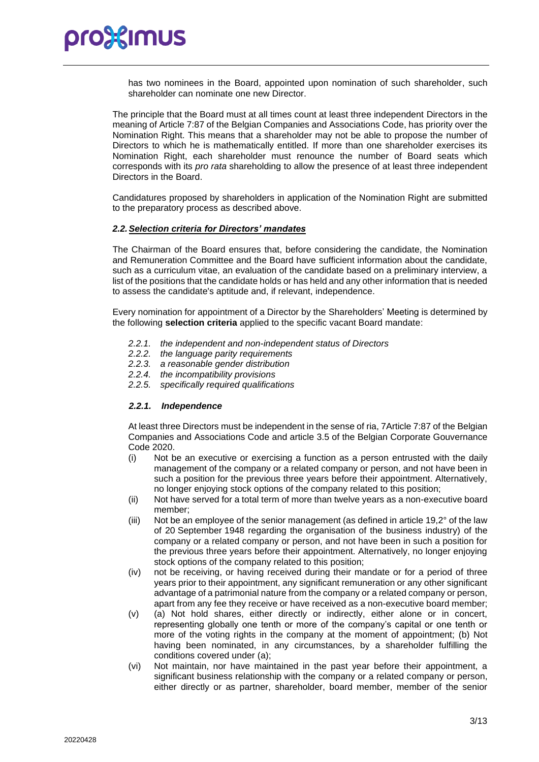

has two nominees in the Board, appointed upon nomination of such shareholder, such shareholder can nominate one new Director.

The principle that the Board must at all times count at least three independent Directors in the meaning of Article 7:87 of the Belgian Companies and Associations Code, has priority over the Nomination Right. This means that a shareholder may not be able to propose the number of Directors to which he is mathematically entitled. If more than one shareholder exercises its Nomination Right, each shareholder must renounce the number of Board seats which corresponds with its *pro rata* shareholding to allow the presence of at least three independent Directors in the Board.

Candidatures proposed by shareholders in application of the Nomination Right are submitted to the preparatory process as described above.

#### *2.2.Selection criteria for Directors' mandates*

The Chairman of the Board ensures that, before considering the candidate, the Nomination and Remuneration Committee and the Board have sufficient information about the candidate, such as a curriculum vitae, an evaluation of the candidate based on a preliminary interview, a list of the positions that the candidate holds or has held and any other information that is needed to assess the candidate's aptitude and, if relevant, independence.

Every nomination for appointment of a Director by the Shareholders' Meeting is determined by the following **selection criteria** applied to the specific vacant Board mandate:

- *2.2.1. the independent and non-independent status of Directors*
- *2.2.2. the language parity requirements*
- *2.2.3. a reasonable gender distribution*
- *2.2.4. the incompatibility provisions*
- *2.2.5. specifically required qualifications*

#### *2.2.1. Independence*

At least three Directors must be independent in the sense of ria, 7Article 7:87 of the Belgian Companies and Associations Code and article 3.5 of the Belgian Corporate Gouvernance Code 2020.

- (i) Not be an executive or exercising a function as a person entrusted with the daily management of the company or a related company or person, and not have been in such a position for the previous three years before their appointment. Alternatively, no longer enjoying stock options of the company related to this position;
- (ii) Not have served for a total term of more than twelve years as a non-executive board member;
- (iii) Not be an employee of the senior management (as defined in article 19,2° of the law of 20 September 1948 regarding the organisation of the business industry) of the company or a related company or person, and not have been in such a position for the previous three years before their appointment. Alternatively, no longer enjoying stock options of the company related to this position;
- (iv) not be receiving, or having received during their mandate or for a period of three years prior to their appointment, any significant remuneration or any other significant advantage of a patrimonial nature from the company or a related company or person, apart from any fee they receive or have received as a non-executive board member;
- (v) (a) Not hold shares, either directly or indirectly, either alone or in concert, representing globally one tenth or more of the company's capital or one tenth or more of the voting rights in the company at the moment of appointment; (b) Not having been nominated, in any circumstances, by a shareholder fulfilling the conditions covered under (a);
- (vi) Not maintain, nor have maintained in the past year before their appointment, a significant business relationship with the company or a related company or person, either directly or as partner, shareholder, board member, member of the senior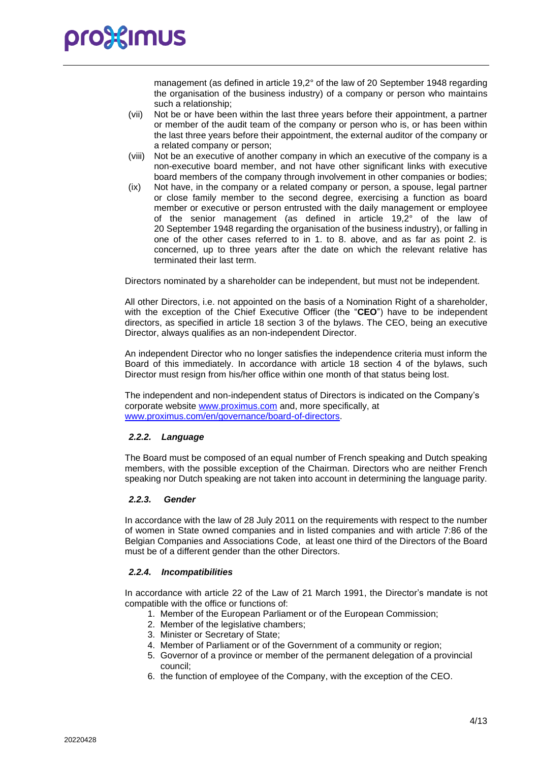management (as defined in article 19,2° of the law of 20 September 1948 regarding the organisation of the business industry) of a company or person who maintains such a relationship;

- (vii) Not be or have been within the last three years before their appointment, a partner or member of the audit team of the company or person who is, or has been within the last three years before their appointment, the external auditor of the company or a related company or person;
- (viii) Not be an executive of another company in which an executive of the company is a non-executive board member, and not have other significant links with executive board members of the company through involvement in other companies or bodies;
- (ix) Not have, in the company or a related company or person, a spouse, legal partner or close family member to the second degree, exercising a function as board member or executive or person entrusted with the daily management or employee of the senior management (as defined in article 19,2° of the law of 20 September 1948 regarding the organisation of the business industry), or falling in one of the other cases referred to in 1. to 8. above, and as far as point 2. is concerned, up to three years after the date on which the relevant relative has terminated their last term.

Directors nominated by a shareholder can be independent, but must not be independent.

All other Directors, i.e. not appointed on the basis of a Nomination Right of a shareholder, with the exception of the Chief Executive Officer (the "**CEO**") have to be independent directors, as specified in article 18 section 3 of the bylaws. The CEO, being an executive Director, always qualifies as an non-independent Director.

An independent Director who no longer satisfies the independence criteria must inform the Board of this immediately. In accordance with article 18 section 4 of the bylaws, such Director must resign from his/her office within one month of that status being lost.

The independent and non-independent status of Directors is indicated on the Company's corporate website [www.proximus.com](http://www.proximus.com/) and, more specifically, at [www.proximus.com/en/governance/board-of-directors.](http://www.proximus.com/en/governance/board-of-directors)

#### *2.2.2. Language*

The Board must be composed of an equal number of French speaking and Dutch speaking members, with the possible exception of the Chairman. Directors who are neither French speaking nor Dutch speaking are not taken into account in determining the language parity.

#### *2.2.3. Gender*

In accordance with the law of 28 July 2011 on the requirements with respect to the number of women in State owned companies and in listed companies and with article 7:86 of the Belgian Companies and Associations Code, at least one third of the Directors of the Board must be of a different gender than the other Directors.

#### *2.2.4. Incompatibilities*

In accordance with article 22 of the Law of 21 March 1991, the Director's mandate is not compatible with the office or functions of:

- 1. Member of the European Parliament or of the European Commission;
- 2. Member of the legislative chambers;
- 3. Minister or Secretary of State;
- 4. Member of Parliament or of the Government of a community or region;
- 5. Governor of a province or member of the permanent delegation of a provincial council;
- 6. the function of employee of the Company, with the exception of the CEO.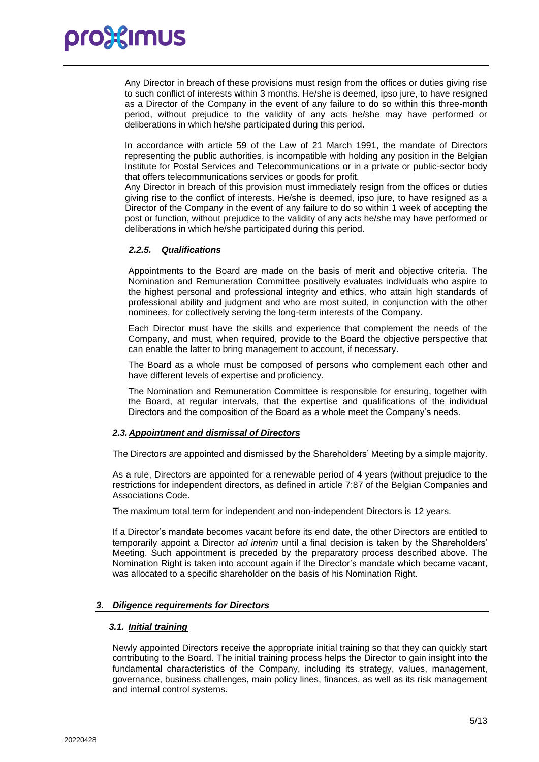Any Director in breach of these provisions must resign from the offices or duties giving rise to such conflict of interests within 3 months. He/she is deemed, ipso jure, to have resigned as a Director of the Company in the event of any failure to do so within this three-month period, without prejudice to the validity of any acts he/she may have performed or deliberations in which he/she participated during this period.

In accordance with article 59 of the Law of 21 March 1991, the mandate of Directors representing the public authorities, is incompatible with holding any position in the Belgian Institute for Postal Services and Telecommunications or in a private or public-sector body that offers telecommunications services or goods for profit.

Any Director in breach of this provision must immediately resign from the offices or duties giving rise to the conflict of interests. He/she is deemed, ipso jure, to have resigned as a Director of the Company in the event of any failure to do so within 1 week of accepting the post or function, without prejudice to the validity of any acts he/she may have performed or deliberations in which he/she participated during this period.

#### *2.2.5. Qualifications*

Appointments to the Board are made on the basis of merit and objective criteria. The Nomination and Remuneration Committee positively evaluates individuals who aspire to the highest personal and professional integrity and ethics, who attain high standards of professional ability and judgment and who are most suited, in conjunction with the other nominees, for collectively serving the long-term interests of the Company.

Each Director must have the skills and experience that complement the needs of the Company, and must, when required, provide to the Board the objective perspective that can enable the latter to bring management to account, if necessary.

The Board as a whole must be composed of persons who complement each other and have different levels of expertise and proficiency.

The Nomination and Remuneration Committee is responsible for ensuring, together with the Board, at regular intervals, that the expertise and qualifications of the individual Directors and the composition of the Board as a whole meet the Company's needs.

#### *2.3. Appointment and dismissal of Directors*

The Directors are appointed and dismissed by the Shareholders' Meeting by a simple majority.

As a rule, Directors are appointed for a renewable period of 4 years (without prejudice to the restrictions for independent directors, as defined in article 7:87 of the Belgian Companies and Associations Code.

The maximum total term for independent and non-independent Directors is 12 years.

If a Director's mandate becomes vacant before its end date, the other Directors are entitled to temporarily appoint a Director *ad interim* until a final decision is taken by the Shareholders' Meeting. Such appointment is preceded by the preparatory process described above. The Nomination Right is taken into account again if the Director's mandate which became vacant, was allocated to a specific shareholder on the basis of his Nomination Right.

#### *3. Diligence requirements for Directors*

#### *3.1. Initial training*

Newly appointed Directors receive the appropriate initial training so that they can quickly start contributing to the Board. The initial training process helps the Director to gain insight into the fundamental characteristics of the Company, including its strategy, values, management, governance, business challenges, main policy lines, finances, as well as its risk management and internal control systems.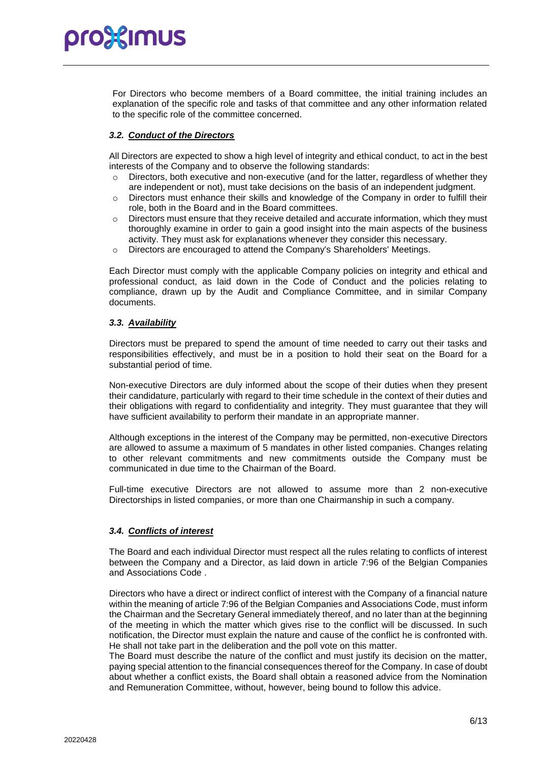For Directors who become members of a Board committee, the initial training includes an explanation of the specific role and tasks of that committee and any other information related to the specific role of the committee concerned.

#### *3.2. Conduct of the Directors*

All Directors are expected to show a high level of integrity and ethical conduct, to act in the best interests of the Company and to observe the following standards:

- $\circ$  Directors, both executive and non-executive (and for the latter, regardless of whether they are independent or not), must take decisions on the basis of an independent judgment.
- $\circ$  Directors must enhance their skills and knowledge of the Company in order to fulfill their role, both in the Board and in the Board committees.
- $\circ$  Directors must ensure that they receive detailed and accurate information, which they must thoroughly examine in order to gain a good insight into the main aspects of the business activity. They must ask for explanations whenever they consider this necessary.
- o Directors are encouraged to attend the Company's Shareholders' Meetings.

Each Director must comply with the applicable Company policies on integrity and ethical and professional conduct, as laid down in the Code of Conduct and the policies relating to compliance, drawn up by the Audit and Compliance Committee, and in similar Company documents.

#### *3.3. Availability*

Directors must be prepared to spend the amount of time needed to carry out their tasks and responsibilities effectively, and must be in a position to hold their seat on the Board for a substantial period of time.

Non-executive Directors are duly informed about the scope of their duties when they present their candidature, particularly with regard to their time schedule in the context of their duties and their obligations with regard to confidentiality and integrity. They must guarantee that they will have sufficient availability to perform their mandate in an appropriate manner.

Although exceptions in the interest of the Company may be permitted, non-executive Directors are allowed to assume a maximum of 5 mandates in other listed companies. Changes relating to other relevant commitments and new commitments outside the Company must be communicated in due time to the Chairman of the Board.

Full-time executive Directors are not allowed to assume more than 2 non-executive Directorships in listed companies, or more than one Chairmanship in such a company.

#### *3.4. Conflicts of interest*

The Board and each individual Director must respect all the rules relating to conflicts of interest between the Company and a Director, as laid down in article 7:96 of the Belgian Companies and Associations Code .

Directors who have a direct or indirect conflict of interest with the Company of a financial nature within the meaning of article 7:96 of the Belgian Companies and Associations Code, must inform the Chairman and the Secretary General immediately thereof, and no later than at the beginning of the meeting in which the matter which gives rise to the conflict will be discussed. In such notification, the Director must explain the nature and cause of the conflict he is confronted with. He shall not take part in the deliberation and the poll vote on this matter.

The Board must describe the nature of the conflict and must justify its decision on the matter, paying special attention to the financial consequences thereof for the Company. In case of doubt about whether a conflict exists, the Board shall obtain a reasoned advice from the Nomination and Remuneration Committee, without, however, being bound to follow this advice.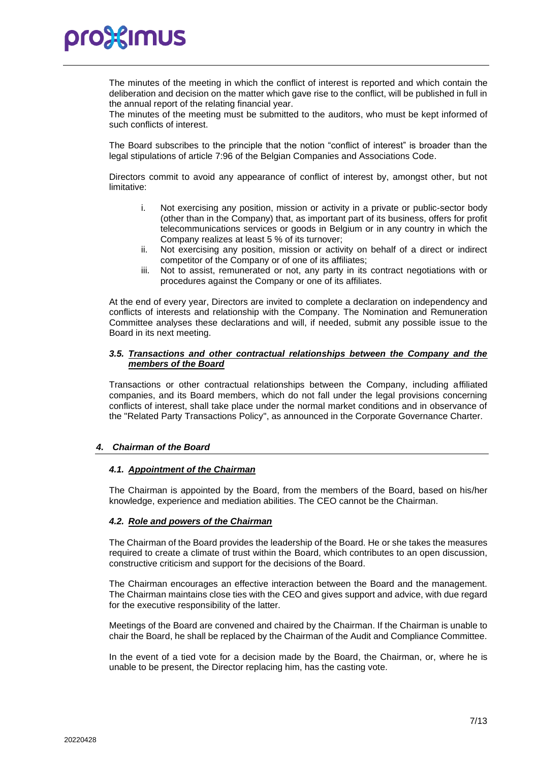The minutes of the meeting in which the conflict of interest is reported and which contain the deliberation and decision on the matter which gave rise to the conflict, will be published in full in the annual report of the relating financial year.

The minutes of the meeting must be submitted to the auditors, who must be kept informed of such conflicts of interest.

The Board subscribes to the principle that the notion "conflict of interest" is broader than the legal stipulations of article 7:96 of the Belgian Companies and Associations Code.

Directors commit to avoid any appearance of conflict of interest by, amongst other, but not limitative:

- i. Not exercising any position, mission or activity in a private or public-sector body (other than in the Company) that, as important part of its business, offers for profit telecommunications services or goods in Belgium or in any country in which the Company realizes at least 5 % of its turnover;
- ii. Not exercising any position, mission or activity on behalf of a direct or indirect competitor of the Company or of one of its affiliates;
- iii. Not to assist, remunerated or not, any party in its contract negotiations with or procedures against the Company or one of its affiliates.

At the end of every year, Directors are invited to complete a declaration on independency and conflicts of interests and relationship with the Company. The Nomination and Remuneration Committee analyses these declarations and will, if needed, submit any possible issue to the Board in its next meeting.

#### *3.5. Transactions and other contractual relationships between the Company and the members of the Board*

Transactions or other contractual relationships between the Company, including affiliated companies, and its Board members, which do not fall under the legal provisions concerning conflicts of interest, shall take place under the normal market conditions and in observance of the "Related Party Transactions Policy", as announced in the Corporate Governance Charter.

#### *4. Chairman of the Board*

#### *4.1. Appointment of the Chairman*

The Chairman is appointed by the Board, from the members of the Board, based on his/her knowledge, experience and mediation abilities. The CEO cannot be the Chairman.

#### *4.2. Role and powers of the Chairman*

The Chairman of the Board provides the leadership of the Board. He or she takes the measures required to create a climate of trust within the Board, which contributes to an open discussion, constructive criticism and support for the decisions of the Board.

The Chairman encourages an effective interaction between the Board and the management. The Chairman maintains close ties with the CEO and gives support and advice, with due regard for the executive responsibility of the latter.

Meetings of the Board are convened and chaired by the Chairman. If the Chairman is unable to chair the Board, he shall be replaced by the Chairman of the Audit and Compliance Committee.

In the event of a tied vote for a decision made by the Board, the Chairman, or, where he is unable to be present, the Director replacing him, has the casting vote.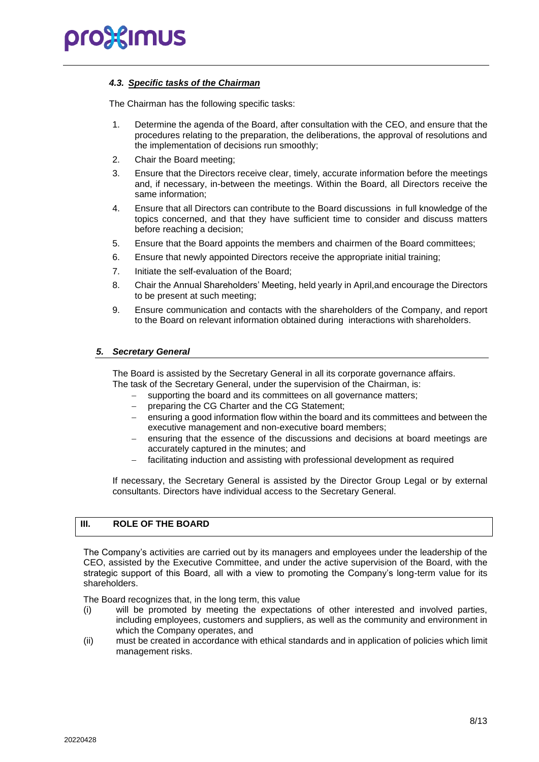#### *4.3. Specific tasks of the Chairman*

The Chairman has the following specific tasks:

- 1. Determine the agenda of the Board, after consultation with the CEO, and ensure that the procedures relating to the preparation, the deliberations, the approval of resolutions and the implementation of decisions run smoothly;
- 2. Chair the Board meeting;
- 3. Ensure that the Directors receive clear, timely, accurate information before the meetings and, if necessary, in-between the meetings. Within the Board, all Directors receive the same information;
- 4. Ensure that all Directors can contribute to the Board discussions in full knowledge of the topics concerned, and that they have sufficient time to consider and discuss matters before reaching a decision;
- 5. Ensure that the Board appoints the members and chairmen of the Board committees;
- 6. Ensure that newly appointed Directors receive the appropriate initial training;
- 7. Initiate the self-evaluation of the Board;
- 8. Chair the Annual Shareholders' Meeting, held yearly in April,and encourage the Directors to be present at such meeting;
- 9. Ensure communication and contacts with the shareholders of the Company, and report to the Board on relevant information obtained during interactions with shareholders.

#### *5. Secretary General*

The Board is assisted by the Secretary General in all its corporate governance affairs. The task of the Secretary General, under the supervision of the Chairman, is:

- supporting the board and its committees on all governance matters;
	- preparing the CG Charter and the CG Statement;
	- ensuring a good information flow within the board and its committees and between the executive management and non-executive board members;
	- ensuring that the essence of the discussions and decisions at board meetings are accurately captured in the minutes; and
	- − facilitating induction and assisting with professional development as required

If necessary, the Secretary General is assisted by the Director Group Legal or by external consultants. Directors have individual access to the Secretary General.

### **III. ROLE OF THE BOARD**

The Company's activities are carried out by its managers and employees under the leadership of the CEO, assisted by the Executive Committee, and under the active supervision of the Board, with the strategic support of this Board, all with a view to promoting the Company's long-term value for its shareholders.

The Board recognizes that, in the long term, this value

- (i) will be promoted by meeting the expectations of other interested and involved parties, including employees, customers and suppliers, as well as the community and environment in which the Company operates, and
- (ii) must be created in accordance with ethical standards and in application of policies which limit management risks.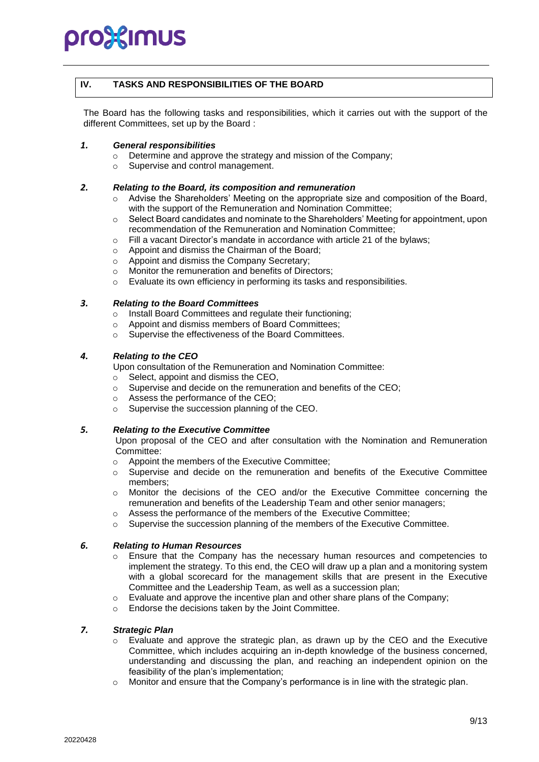#### **IV. TASKS AND RESPONSIBILITIES OF THE BOARD**

The Board has the following tasks and responsibilities, which it carries out with the support of the different Committees, set up by the Board :

#### *1. General responsibilities*

- o Determine and approve the strategy and mission of the Company;
- o Supervise and control management.

#### *2. Relating to the Board, its composition and remuneration*

- $\circ$  Advise the Shareholders' Meeting on the appropriate size and composition of the Board, with the support of the Remuneration and Nomination Committee;
- o Select Board candidates and nominate to the Shareholders' Meeting for appointment, upon recommendation of the Remuneration and Nomination Committee;
- $\circ$  Fill a vacant Director's mandate in accordance with article 21 of the bylaws;
- o Appoint and dismiss the Chairman of the Board;
- o Appoint and dismiss the Company Secretary;
- o Monitor the remuneration and benefits of Directors;
- o Evaluate its own efficiency in performing its tasks and responsibilities.

### *3. Relating to the Board Committees*

- o Install Board Committees and regulate their functioning;
- o Appoint and dismiss members of Board Committees;
- o Supervise the effectiveness of the Board Committees.

#### *4. Relating to the CEO*

Upon consultation of the Remuneration and Nomination Committee:

o Select, appoint and dismiss the CEO,

- o Supervise and decide on the remuneration and benefits of the CEO;
- o Assess the performance of the CEO;
- o Supervise the succession planning of the CEO.

#### *5. Relating to the Executive Committee*

Upon proposal of the CEO and after consultation with the Nomination and Remuneration Committee:

- o Appoint the members of the Executive Committee;
- o Supervise and decide on the remuneration and benefits of the Executive Committee members;
- o Monitor the decisions of the CEO and/or the Executive Committee concerning the remuneration and benefits of the Leadership Team and other senior managers;
- o Assess the performance of the members of the Executive Committee;
- $\circ$  Supervise the succession planning of the members of the Executive Committee.

#### *6. Relating to Human Resources*

- o Ensure that the Company has the necessary human resources and competencies to implement the strategy. To this end, the CEO will draw up a plan and a monitoring system with a global scorecard for the management skills that are present in the Executive Committee and the Leadership Team, as well as a succession plan;
- o Evaluate and approve the incentive plan and other share plans of the Company;
- o Endorse the decisions taken by the Joint Committee.

#### *7. Strategic Plan*

- $\circ$  Evaluate and approve the strategic plan, as drawn up by the CEO and the Executive Committee, which includes acquiring an in-depth knowledge of the business concerned, understanding and discussing the plan, and reaching an independent opinion on the feasibility of the plan's implementation;
- $\circ$  Monitor and ensure that the Company's performance is in line with the strategic plan.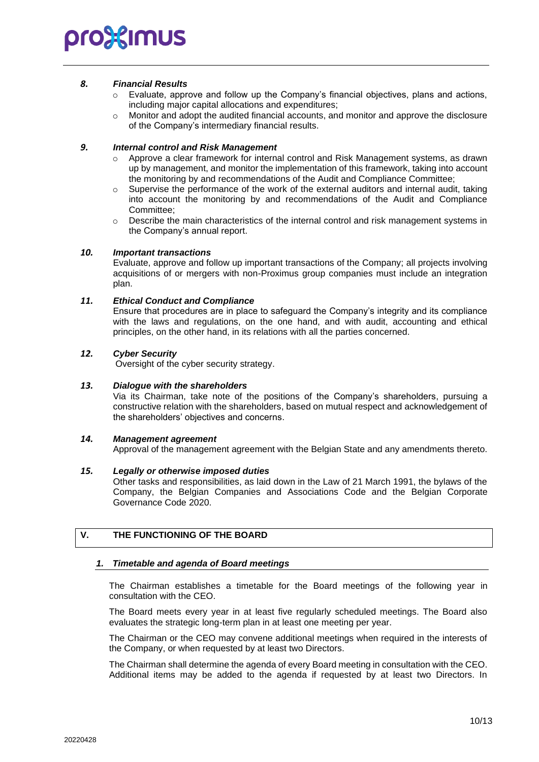#### *8. Financial Results*

- o Evaluate, approve and follow up the Company's financial objectives, plans and actions, including major capital allocations and expenditures;
- o Monitor and adopt the audited financial accounts, and monitor and approve the disclosure of the Company's intermediary financial results.

#### *9. Internal control and Risk Management*

- o Approve a clear framework for internal control and Risk Management systems, as drawn up by management, and monitor the implementation of this framework, taking into account the monitoring by and recommendations of the Audit and Compliance Committee;
- o Supervise the performance of the work of the external auditors and internal audit, taking into account the monitoring by and recommendations of the Audit and Compliance Committee;
- o Describe the main characteristics of the internal control and risk management systems in the Company's annual report.

#### *10. Important transactions*

Evaluate, approve and follow up important transactions of the Company; all projects involving acquisitions of or mergers with non-Proximus group companies must include an integration plan.

#### *11. Ethical Conduct and Compliance*

Ensure that procedures are in place to safeguard the Company's integrity and its compliance with the laws and regulations, on the one hand, and with audit, accounting and ethical principles, on the other hand, in its relations with all the parties concerned.

#### *12. Cyber Security*

Oversight of the cyber security strategy.

#### *13. Dialogue with the shareholders*

Via its Chairman, take note of the positions of the Company's shareholders, pursuing a constructive relation with the shareholders, based on mutual respect and acknowledgement of the shareholders' objectives and concerns.

#### *14. Management agreement*

Approval of the management agreement with the Belgian State and any amendments thereto.

#### *15. Legally or otherwise imposed duties*

Other tasks and responsibilities, as laid down in the Law of 21 March 1991, the bylaws of the Company, the Belgian Companies and Associations Code and the Belgian Corporate Governance Code 2020.

### **V. THE FUNCTIONING OF THE BOARD**

#### *1. Timetable and agenda of Board meetings*

The Chairman establishes a timetable for the Board meetings of the following year in consultation with the CEO.

The Board meets every year in at least five regularly scheduled meetings. The Board also evaluates the strategic long-term plan in at least one meeting per year.

The Chairman or the CEO may convene additional meetings when required in the interests of the Company, or when requested by at least two Directors.

The Chairman shall determine the agenda of every Board meeting in consultation with the CEO. Additional items may be added to the agenda if requested by at least two Directors. In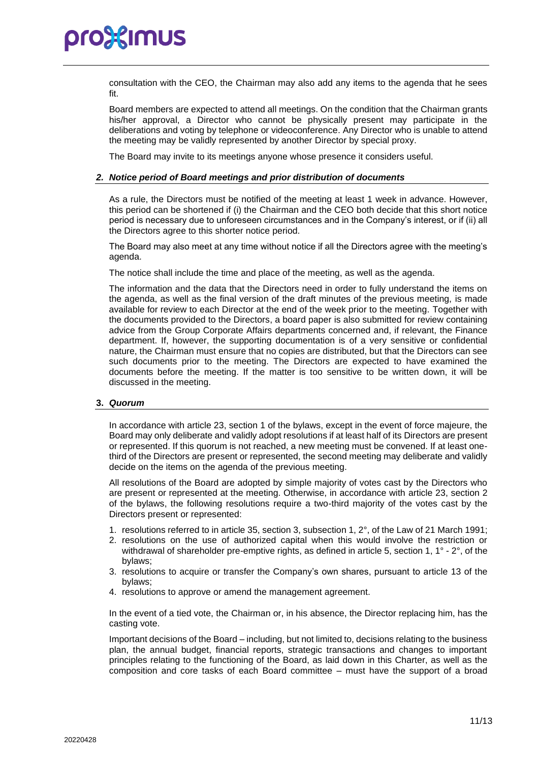consultation with the CEO, the Chairman may also add any items to the agenda that he sees fit.

Board members are expected to attend all meetings. On the condition that the Chairman grants his/her approval, a Director who cannot be physically present may participate in the deliberations and voting by telephone or videoconference. Any Director who is unable to attend the meeting may be validly represented by another Director by special proxy.

The Board may invite to its meetings anyone whose presence it considers useful.

#### *2. Notice period of Board meetings and prior distribution of documents*

As a rule, the Directors must be notified of the meeting at least 1 week in advance. However, this period can be shortened if (i) the Chairman and the CEO both decide that this short notice period is necessary due to unforeseen circumstances and in the Company's interest, or if (ii) all the Directors agree to this shorter notice period.

The Board may also meet at any time without notice if all the Directors agree with the meeting's agenda.

The notice shall include the time and place of the meeting, as well as the agenda.

The information and the data that the Directors need in order to fully understand the items on the agenda, as well as the final version of the draft minutes of the previous meeting, is made available for review to each Director at the end of the week prior to the meeting. Together with the documents provided to the Directors, a board paper is also submitted for review containing advice from the Group Corporate Affairs departments concerned and, if relevant, the Finance department. If, however, the supporting documentation is of a very sensitive or confidential nature, the Chairman must ensure that no copies are distributed, but that the Directors can see such documents prior to the meeting. The Directors are expected to have examined the documents before the meeting. If the matter is too sensitive to be written down, it will be discussed in the meeting.

#### **3.** *Quorum*

In accordance with article 23, section 1 of the bylaws, except in the event of force majeure, the Board may only deliberate and validly adopt resolutions if at least half of its Directors are present or represented. If this quorum is not reached, a new meeting must be convened. If at least onethird of the Directors are present or represented, the second meeting may deliberate and validly decide on the items on the agenda of the previous meeting.

All resolutions of the Board are adopted by simple majority of votes cast by the Directors who are present or represented at the meeting. Otherwise, in accordance with article 23, section 2 of the bylaws, the following resolutions require a two-third majority of the votes cast by the Directors present or represented:

- 1. resolutions referred to in article 35, section 3, subsection 1, 2°, of the Law of 21 March 1991;
- 2. resolutions on the use of authorized capital when this would involve the restriction or withdrawal of shareholder pre-emptive rights, as defined in article 5, section 1, 1° - 2°, of the bylaws;
- 3. resolutions to acquire or transfer the Company's own shares, pursuant to article 13 of the bylaws;
- 4. resolutions to approve or amend the management agreement.

In the event of a tied vote, the Chairman or, in his absence, the Director replacing him, has the casting vote.

Important decisions of the Board – including, but not limited to, decisions relating to the business plan, the annual budget, financial reports, strategic transactions and changes to important principles relating to the functioning of the Board, as laid down in this Charter, as well as the composition and core tasks of each Board committee – must have the support of a broad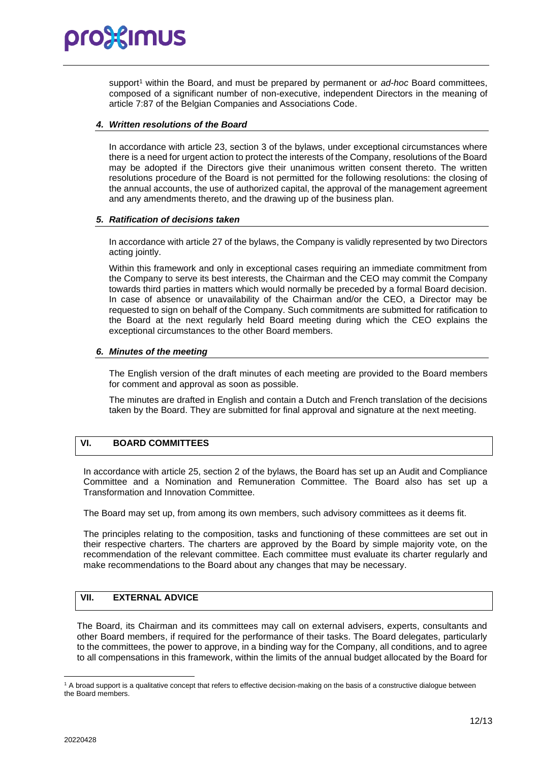support<sup>1</sup> within the Board, and must be prepared by permanent or *ad-hoc* Board committees, composed of a significant number of non-executive, independent Directors in the meaning of article 7:87 of the Belgian Companies and Associations Code.

#### *4. Written resolutions of the Board*

In accordance with article 23, section 3 of the bylaws, under exceptional circumstances where there is a need for urgent action to protect the interests of the Company, resolutions of the Board may be adopted if the Directors give their unanimous written consent thereto. The written resolutions procedure of the Board is not permitted for the following resolutions: the closing of the annual accounts, the use of authorized capital, the approval of the management agreement and any amendments thereto, and the drawing up of the business plan.

#### *5. Ratification of decisions taken*

In accordance with article 27 of the bylaws, the Company is validly represented by two Directors acting jointly.

Within this framework and only in exceptional cases requiring an immediate commitment from the Company to serve its best interests, the Chairman and the CEO may commit the Company towards third parties in matters which would normally be preceded by a formal Board decision. In case of absence or unavailability of the Chairman and/or the CEO, a Director may be requested to sign on behalf of the Company. Such commitments are submitted for ratification to the Board at the next regularly held Board meeting during which the CEO explains the exceptional circumstances to the other Board members.

#### *6. Minutes of the meeting*

The English version of the draft minutes of each meeting are provided to the Board members for comment and approval as soon as possible.

The minutes are drafted in English and contain a Dutch and French translation of the decisions taken by the Board. They are submitted for final approval and signature at the next meeting.

#### **VI. BOARD COMMITTEES**

In accordance with article 25, section 2 of the bylaws, the Board has set up an Audit and Compliance Committee and a Nomination and Remuneration Committee. The Board also has set up a Transformation and Innovation Committee.

The Board may set up, from among its own members, such advisory committees as it deems fit.

The principles relating to the composition, tasks and functioning of these committees are set out in their respective charters. The charters are approved by the Board by simple majority vote, on the recommendation of the relevant committee. Each committee must evaluate its charter regularly and make recommendations to the Board about any changes that may be necessary.

#### **VII. EXTERNAL ADVICE**

The Board, its Chairman and its committees may call on external advisers, experts, consultants and other Board members, if required for the performance of their tasks. The Board delegates, particularly to the committees, the power to approve, in a binding way for the Company, all conditions, and to agree to all compensations in this framework, within the limits of the annual budget allocated by the Board for

<sup>&</sup>lt;sup>1</sup> A broad support is a qualitative concept that refers to effective decision-making on the basis of a constructive dialogue between the Board members.